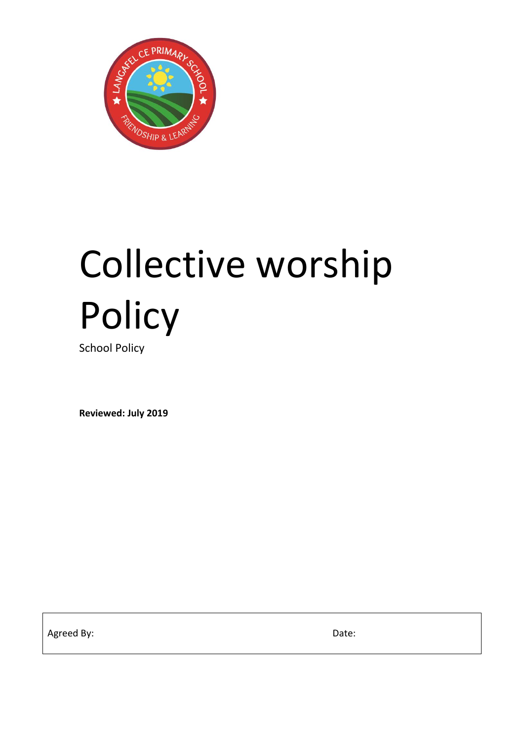

# Collective worship Policy

School Policy

**Reviewed: July 2019**

Agreed By: Date: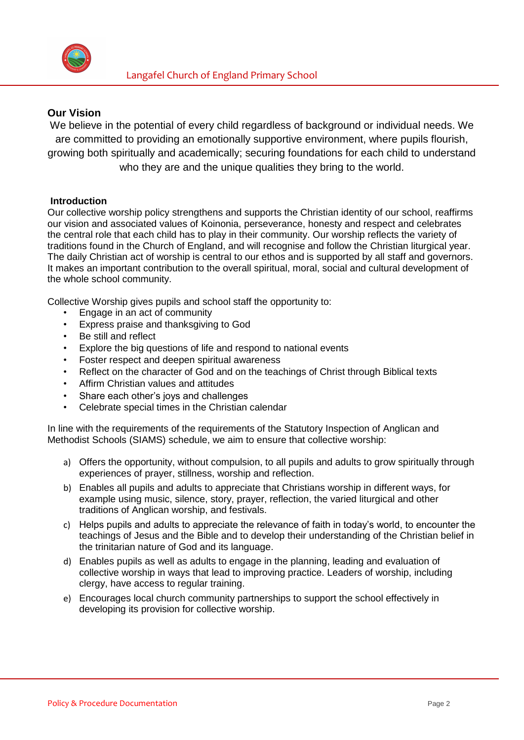

# **Our Vision**

We believe in the potential of every child regardless of background or individual needs. We are committed to providing an emotionally supportive environment, where pupils flourish, growing both spiritually and academically; securing foundations for each child to understand who they are and the unique qualities they bring to the world.

## **Introduction**

Our collective worship policy strengthens and supports the Christian identity of our school, reaffirms our vision and associated values of Koinonia, perseverance, honesty and respect and celebrates the central role that each child has to play in their community. Our worship reflects the variety of traditions found in the Church of England, and will recognise and follow the Christian liturgical year. The daily Christian act of worship is central to our ethos and is supported by all staff and governors. It makes an important contribution to the overall spiritual, moral, social and cultural development of the whole school community.

Collective Worship gives pupils and school staff the opportunity to:

- Engage in an act of community
- Express praise and thanksgiving to God
- Be still and reflect
- Explore the big questions of life and respond to national events
- Foster respect and deepen spiritual awareness
- Reflect on the character of God and on the teachings of Christ through Biblical texts
- Affirm Christian values and attitudes
- Share each other's joys and challenges
- Celebrate special times in the Christian calendar

In line with the requirements of the requirements of the Statutory Inspection of Anglican and Methodist Schools (SIAMS) schedule, we aim to ensure that collective worship:

- a) Offers the opportunity, without compulsion, to all pupils and adults to grow spiritually through experiences of prayer, stillness, worship and reflection.
- b) Enables all pupils and adults to appreciate that Christians worship in different ways, for example using music, silence, story, prayer, reflection, the varied liturgical and other traditions of Anglican worship, and festivals.
- c) Helps pupils and adults to appreciate the relevance of faith in today's world, to encounter the teachings of Jesus and the Bible and to develop their understanding of the Christian belief in the trinitarian nature of God and its language.
- d) Enables pupils as well as adults to engage in the planning, leading and evaluation of collective worship in ways that lead to improving practice. Leaders of worship, including clergy, have access to regular training.
- e) Encourages local church community partnerships to support the school effectively in developing its provision for collective worship.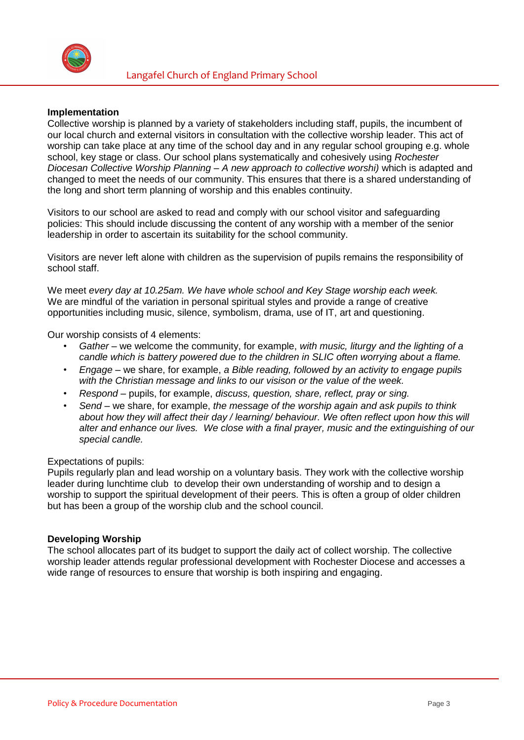

### **Implementation**

Collective worship is planned by a variety of stakeholders including staff, pupils, the incumbent of our local church and external visitors in consultation with the collective worship leader. This act of worship can take place at any time of the school day and in any regular school grouping e.g. whole school, key stage or class. Our school plans systematically and cohesively using *Rochester Diocesan Collective Worship Planning – A new approach to collective worshi)* which is adapted and changed to meet the needs of our community. This ensures that there is a shared understanding of the long and short term planning of worship and this enables continuity.

Visitors to our school are asked to read and comply with our school visitor and safeguarding policies: This should include discussing the content of any worship with a member of the senior leadership in order to ascertain its suitability for the school community.

Visitors are never left alone with children as the supervision of pupils remains the responsibility of school staff.

We meet *every day at 10.25am. We have whole school and Key Stage worship each week.* We are mindful of the variation in personal spiritual styles and provide a range of creative opportunities including music, silence, symbolism, drama, use of IT, art and questioning.

Our worship consists of 4 elements:

- *Gather*  we welcome the community, for example, *with music, liturgy and the lighting of a candle which is battery powered due to the children in SLIC often worrying about a flame.*
- *Engage*  we share, for example, *a Bible reading, followed by an activity to engage pupils with the Christian message and links to our visison or the value of the week.*
- *Respond*  pupils, for example, *discuss, question, share, reflect, pray or sing.*
- *Send*  we share, for example, *the message of the worship again and ask pupils to think about how they will affect their day / learning/ behaviour. We often reflect upon how this will alter and enhance our lives. We close with a final prayer, music and the extinguishing of our special candle.*

### Expectations of pupils:

Pupils regularly plan and lead worship on a voluntary basis. They work with the collective worship leader during lunchtime club to develop their own understanding of worship and to design a worship to support the spiritual development of their peers. This is often a group of older children but has been a group of the worship club and the school council.

### **Developing Worship**

The school allocates part of its budget to support the daily act of collect worship. The collective worship leader attends regular professional development with Rochester Diocese and accesses a wide range of resources to ensure that worship is both inspiring and engaging.